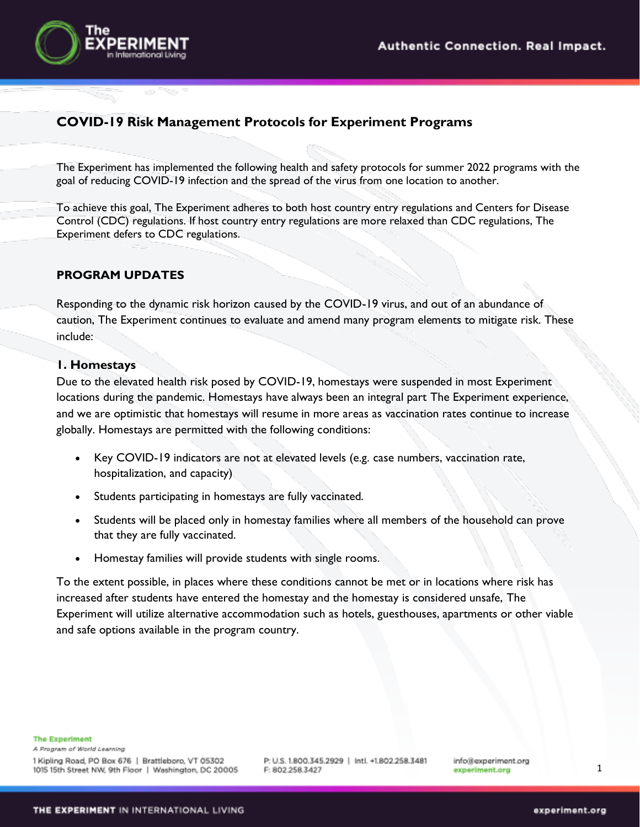

# **COVID-19 Risk Management Protocols for Experiment Programs**

The Experiment has implemented the following health and safety protocols for summer 2022 programs with the goal of reducing COVID-19 infection and the spread of the virus from one location to another.

To achieve this goal, The Experiment adheres to both host country entry regulations and Centers for Disease Control (CDC) regulations. If host country entry regulations are more relaxed than CDC regulations, The Experiment defers to CDC regulations.

# **PROGRAM UPDATES**

Responding to the dynamic risk horizon caused by the COVID-19 virus, and out of an abundance of caution, The Experiment continues to evaluate and amend many program elements to mitigate risk. These include:

#### **1. Homestays**

Due to the elevated health risk posed by COVID-19, homestays were suspended in most Experiment locations during the pandemic. Homestays have always been an integral part The Experiment experience, and we are optimistic that homestays will resume in more areas as vaccination rates continue to increase globally. Homestays are permitted with the following conditions:

- Key COVID-19 indicators are not at elevated levels (e.g. case numbers, vaccination rate, hospitalization, and capacity)
- Students participating in homestays are fully vaccinated.
- Students will be placed only in homestay families where all members of the household can prove that they are fully vaccinated.
- Homestay families will provide students with single rooms.

To the extent possible, in places where these conditions cannot be met or in locations where risk has increased after students have entered the homestay and the homestay is considered unsafe, The Experiment will utilize alternative accommodation such as hotels, guesthouses, apartments or other viable and safe options available in the program country.

**The Experiment** A Program of World Learning

1 Kipling Road, PO Box 676 | Brattleboro, VT 05302 1015 15th Street NW, 9th Floor | Washington, DC 20005

P: U.S. 1.800.345.2929 | Intl. +1.802.258.3481 F: 802.258.3427

info@experiment.org experiment.org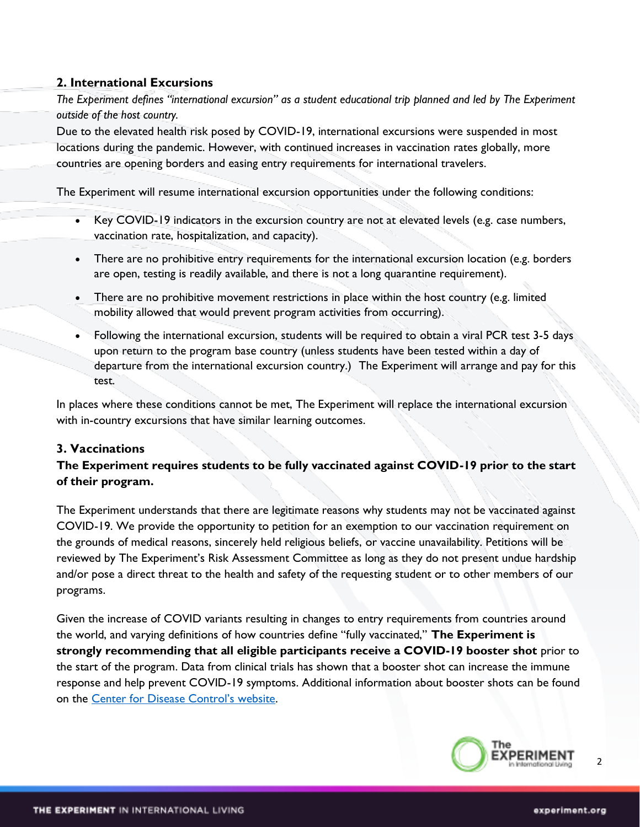# **2. International Excursions**

*The Experiment defines "international excursion" as a student educational trip planned and led by The Experiment outside of the host country.*

Due to the elevated health risk posed by COVID-19, international excursions were suspended in most locations during the pandemic. However, with continued increases in vaccination rates globally, more countries are opening borders and easing entry requirements for international travelers.

The Experiment will resume international excursion opportunities under the following conditions:

- Key COVID-19 indicators in the excursion country are not at elevated levels (e.g. case numbers, vaccination rate, hospitalization, and capacity).
- There are no prohibitive entry requirements for the international excursion location (e.g. borders are open, testing is readily available, and there is not a long quarantine requirement).
- There are no prohibitive movement restrictions in place within the host country (e.g. limited mobility allowed that would prevent program activities from occurring).
- Following the international excursion, students will be required to obtain a viral PCR test 3-5 days upon return to the program base country (unless students have been tested within a day of departure from the international excursion country.) The Experiment will arrange and pay for this test.

In places where these conditions cannot be met, The Experiment will replace the international excursion with in-country excursions that have similar learning outcomes.

# **3. Vaccinations**

# **The Experiment requires students to be fully vaccinated against COVID-19 prior to the start of their program.**

The Experiment understands that there are legitimate reasons why students may not be vaccinated against COVID-19. We provide the opportunity to petition for an exemption to our vaccination requirement on the grounds of medical reasons, sincerely held religious beliefs, or vaccine unavailability. Petitions will be reviewed by The Experiment's Risk Assessment Committee as long as they do not present undue hardship and/or pose a direct threat to the health and safety of the requesting student or to other members of our programs.

Given the increase of COVID variants resulting in changes to entry requirements from countries around the world, and varying definitions of how countries define "fully vaccinated," **The Experiment is strongly recommending that all eligible participants receive a COVID-19 booster shot** prior to the start of the program. Data from clinical trials has shown that a booster shot can increase the immune response and help prevent COVID-19 symptoms. Additional information about booster shots can be found on the [Center for Disease Control's website](https://www.cdc.gov/coronavirus/2019-ncov/vaccines/booster-shot.html).



 $\mathfrak{p}$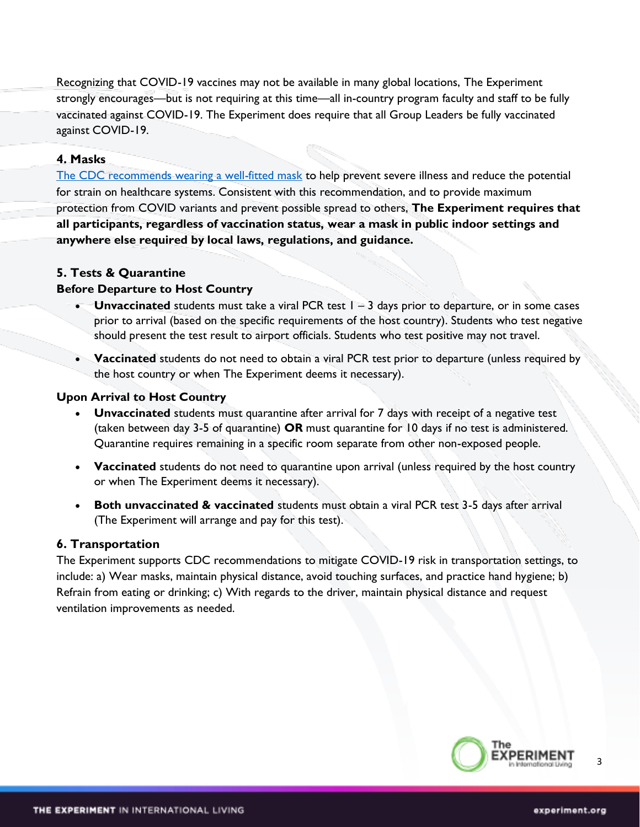Recognizing that COVID-19 vaccines may not be available in many global locations, The Experiment strongly encourages—but is not requiring at this time—all in-country program faculty and staff to be fully vaccinated against COVID-19. The Experiment does require that all Group Leaders be fully vaccinated against COVID-19.

### **4. Masks**

[The CDC recommends wearing a well-fitted mask](https://www.cdc.gov/coronavirus/2019-ncov/prevent-getting-sick/about-face-coverings.html) to help prevent severe illness and reduce the potential for strain on healthcare systems. Consistent with this recommendation, and to provide maximum protection from COVID variants and prevent possible spread to others, **The Experiment requires that all participants, regardless of vaccination status, wear a mask in public indoor settings and anywhere else required by local laws, regulations, and guidance.**

# **5. Tests & Quarantine**

#### **Before Departure to Host Country**

- **Unvaccinated** students must take a viral PCR test 1 3 days prior to departure, or in some cases prior to arrival (based on the specific requirements of the host country). Students who test negative should present the test result to airport officials. Students who test positive may not travel.
- **Vaccinated** students do not need to obtain a viral PCR test prior to departure (unless required by the host country or when The Experiment deems it necessary).

#### **Upon Arrival to Host Country**

- **Unvaccinated** students must quarantine after arrival for 7 days with receipt of a negative test (taken between day 3-5 of quarantine) **OR** must quarantine for 10 days if no test is administered. Quarantine requires remaining in a specific room separate from other non-exposed people.
- **Vaccinated** students do not need to quarantine upon arrival (unless required by the host country or when The Experiment deems it necessary).
- **Both unvaccinated & vaccinated** students must obtain a viral PCR test 3-5 days after arrival (The Experiment will arrange and pay for this test).

#### **6. Transportation**

The Experiment supports CDC recommendations to mitigate COVID-19 risk in transportation settings, to include: a) Wear masks, maintain physical distance, avoid touching surfaces, and practice hand hygiene; b) Refrain from eating or drinking; c) With regards to the driver, maintain physical distance and request ventilation improvements as needed.



3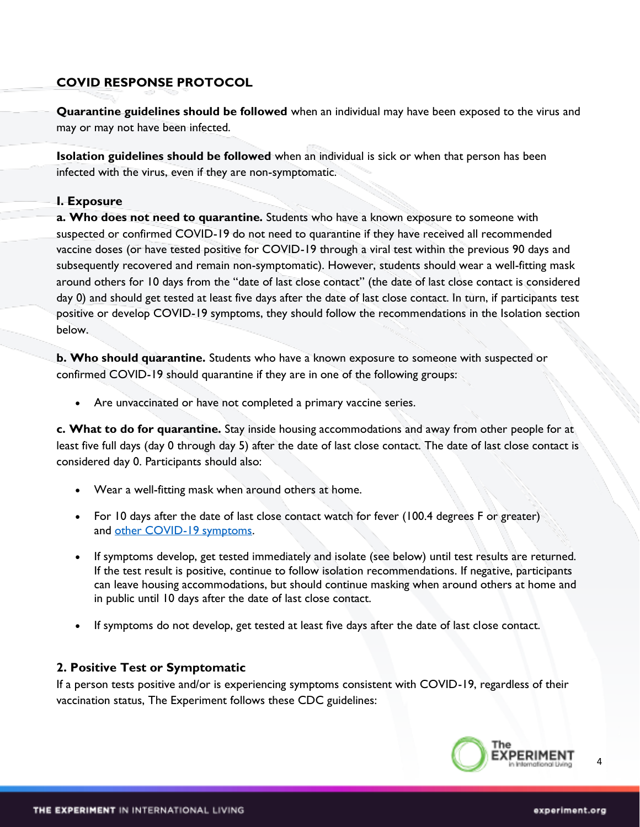# **COVID RESPONSE PROTOCOL**

**Quarantine guidelines should be followed** when an individual may have been exposed to the virus and may or may not have been infected.

**Isolation guidelines should be followed** when an individual is sick or when that person has been infected with the virus, even if they are non-symptomatic.

# **I. Exposure**

**a. Who does not need to quarantine.** Students who have a known exposure to someone with suspected or confirmed COVID-19 do not need to quarantine if they have received all recommended vaccine doses (or have tested positive for COVID-19 through a viral test within the previous 90 days and subsequently recovered and remain non-symptomatic). However, students should wear a well-fitting mask around others for 10 days from the "date of last close contact" (the date of last close contact is considered day 0) and should get tested at least five days after the date of last close contact. In turn, if participants test positive or develop COVID-19 symptoms, they should follow the recommendations in the Isolation section below.

**b. Who should quarantine.** Students who have a known exposure to someone with suspected or confirmed COVID-19 should quarantine if they are in one of the following groups:

Are unvaccinated or have not completed a primary vaccine series.

**c. What to do for quarantine.** Stay inside housing accommodations and away from other people for at least five full days (day 0 through day 5) after the date of last close contact. The date of last close contact is considered day 0. Participants should also:

- Wear a well-fitting mask when around others at home.
- For 10 days after the date of last close contact watch for fever (100.4 degrees F or greater) and [other COVID-19 symptoms.](https://www.cdc.gov/coronavirus/2019-ncov/symptoms-testing/symptoms.html)
- If symptoms develop, get tested immediately and isolate (see below) until test results are returned. If the test result is positive, continue to follow isolation recommendations. If negative, participants can leave housing accommodations, but should continue masking when around others at home and in public until 10 days after the date of last close contact.
- If symptoms do not develop, get tested at least five days after the date of last close contact.

# **2. Positive Test or Symptomatic**

If a person tests positive and/or is experiencing symptoms consistent with COVID-19, regardless of their vaccination status, The Experiment follows these CDC guidelines:



 $\Delta$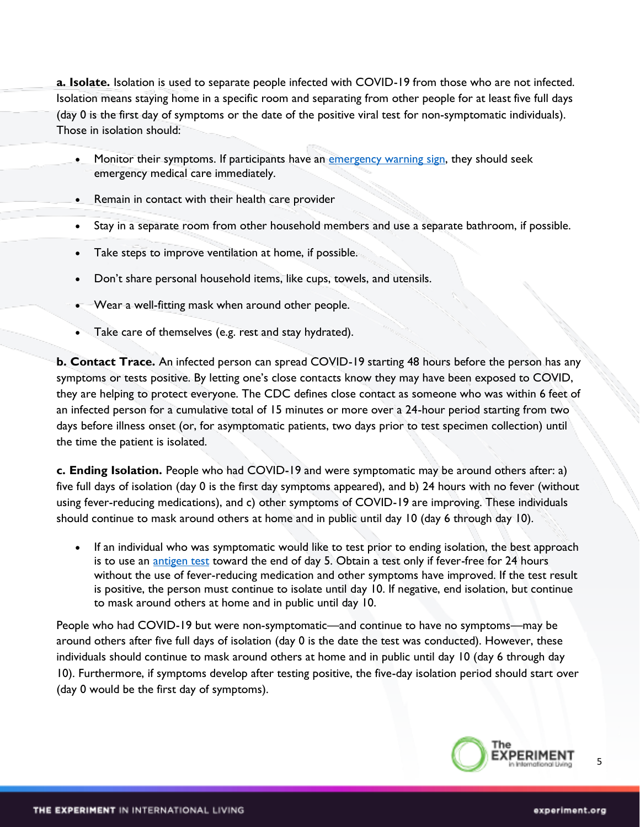**a. Isolate.** Isolation is used to separate people infected with COVID-19 from those who are not infected. Isolation means staying home in a specific room and separating from other people for at least five full days (day 0 is the first day of symptoms or the date of the positive viral test for non-symptomatic individuals). Those in isolation should:

- Monitor their symptoms. If participants have an [emergency warning sign,](https://www.cdc.gov/coronavirus/2019-ncov/symptoms-testing/symptoms.html#emergency-medical-attention) they should seek emergency medical care immediately.
- Remain in contact with their health care provider
- Stay in a separate room from other household members and use a separate bathroom, if possible.
- Take steps to improve ventilation at home, if possible.
- Don't share personal household items, like cups, towels, and utensils.
- Wear a well-fitting mask when around other people.
- Take care of themselves (e.g. rest and stay hydrated).

**b. Contact Trace.** An infected person can spread COVID-19 starting 48 hours before the person has any symptoms or tests positive. By letting one's close contacts know they may have been exposed to COVID, they are helping to protect everyone. The CDC defines close contact as someone who was within 6 feet of an infected person for a cumulative total of 15 minutes or more over a 24-hour period starting from two days before illness onset (or, for asymptomatic patients, two days prior to test specimen collection) until the time the patient is isolated.

**c. Ending Isolation.** People who had COVID-19 and were symptomatic may be around others after: a) five full days of isolation (day 0 is the first day symptoms appeared), and b) 24 hours with no fever (without using fever-reducing medications), and c) other symptoms of COVID-19 are improving. These individuals should continue to mask around others at home and in public until day 10 (day 6 through day 10).

• If an individual who was symptomatic would like to test prior to ending isolation, the best approach is to use an [antigen test](https://www.cdc.gov/coronavirus/2019-ncov/hcp/testing-overview.html) toward the end of day 5. Obtain a test only if fever-free for 24 hours without the use of fever-reducing medication and other symptoms have improved. If the test result is positive, the person must continue to isolate until day 10. If negative, end isolation, but continue to mask around others at home and in public until day 10.

People who had COVID-19 but were non-symptomatic—and continue to have no symptoms—may be around others after five full days of isolation (day 0 is the date the test was conducted). However, these individuals should continue to mask around others at home and in public until day 10 (day 6 through day 10). Furthermore, if symptoms develop after testing positive, the five-day isolation period should start over (day 0 would be the first day of symptoms).



5